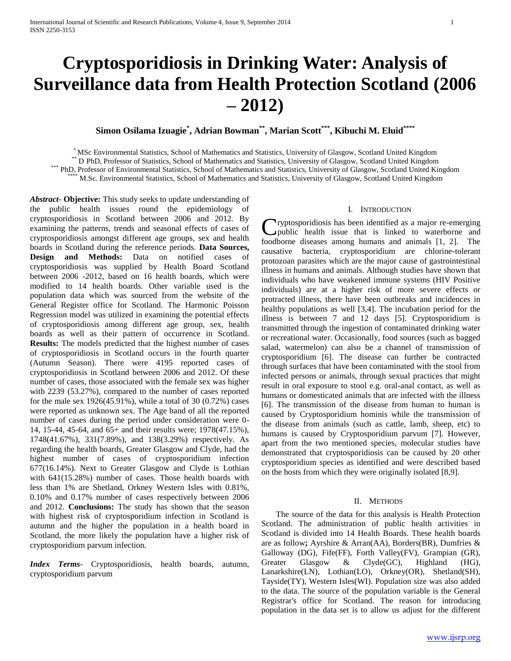# **Cryptosporidiosis in Drinking Water: Analysis of Surveillance data from Health Protection Scotland (2006 – 2012)**

**Simon Osilama Izuagie\* , Adrian Bowman\*\* , Marian Scott\*\*\* , Kibuchi M. Eluid\*\*\*\***

\* MSc Environmental Statistics, School of Mathematics and Statistics, University of Glasgow, Scotland United Kingdom

\*\* D PhD, Professor of Statistics, School of Mathematics and Statistics, University of Glasgow, Scotland United Kingdom

\*\*\* PhD, Professor of Environmental Statistics, School of Mathematics and Statistics, University of Glasgow, Scotland United Kingdom

\*\*\*\* M.Sc. Environmental Statistics, School of Mathematics and Statistics, University of Glasgow, Scotland United Kingdom

*Abstract***- Objective:** This study seeks to update understanding of the public health issues round the epidemiology of cryptosporidiosis in Scotland between 2006 and 2012. By examining the patterns, trends and seasonal effects of cases of cryptosporidiosis amongst different age groups, sex and health boards in Scotland during the reference periods. **Data Sources, Design and Methods:** Data on notified cases of cryptosporidiosis was supplied by Health Board Scotland between 2006 -2012, based on 16 health boards, which were modified to 14 health boards. Other variable used is the population data which was sourced from the website of the General Register office for Scotland. The Harmonic Poisson Regression model was utilized in examining the potential effects of cryptosporidiosis among different age group, sex, health boards as well as their pattern of occurrence in Scotland. **Results:** The models predicted that the highest number of cases of cryptosporidiosis in Scotland occurs in the fourth quarter (Autumn Season). There were 4195 reported cases of cryptosporidiosis in Scotland between 2006 and 2012. Of these number of cases, those associated with the female sex was higher with 2239 (53.27%), compared to the number of cases reported for the male sex 1926(45.91%), while a total of 30 (0.72%) cases were reported as unknown sex. The Age band of all the reported number of cases during the period under consideration were 0- 14, 15-44, 45-64, and 65+ and their results were; 1978(47.15%), 1748(41.67%), 331(7.89%), and 138(3.29%) respectively. As regarding the health boards, Greater Glasgow and Clyde, had the highest number of cases of cryptosporidium infection 677(16.14%). Next to Greater Glasgow and Clyde is Lothian with 641(15.28%) number of cases. Those health boards with less than 1% are Shetland, Orkney Western Isles with 0.81%, 0.10% and 0.17% number of cases respectively between 2006 and 2012. **Conclusions:** The study has shown that the season with highest risk of cryptosporidium infection in Scotland is autumn and the higher the population in a health board in Scotland, the more likely the population have a higher risk of cryptosporidium parvum infection.

*Index Terms*- Cryptosporidiosis, health boards, autumn, cryptosporidium parvum

# I. INTRODUCTION

ryptosporidiosis has been identified as a major re-emerging Cryptosporidiosis has been identified as a major re-emerging<br>public health issue that is linked to waterborne and foodborne diseases among humans and animals [1, 2]. The causative bacteria, cryptosporidium are chlorine-tolerant protozoan parasites which are the major cause of gastrointestinal illness in humans and animals. Although studies have shown that individuals who have weakened immune systems (HIV Positive individuals) are at a higher risk of more severe effects or protracted illness, there have been outbreaks and incidences in healthy populations as well [3,4]. The incubation period for the illness is between 7 and 12 days [5]. Cryptosporidium is transmitted through the ingestion of contaminated drinking water or recreational water. Occasionally, food sources (such as bagged salad, watermelon) can also be a channel of transmission of cryptosporidium [6]. The disease can further be contracted through surfaces that have been contaminated with the stool from infected persons or animals, through sexual practices that might result in oral exposure to stool e.g. oral-anal contact, as well as humans or domesticated animals that are infected with the illness [6]. The transmission of the disease from human to human is caused by Cryptosporidium hominis while the transmission of the disease from animals (such as cattle, lamb, sheep, etc) to humans is caused by Cryptosporidium parvum [7]. However, apart from the two mentioned species, molecular studies have demonstrated that cryptosporidiosis can be caused by 20 other cryptosporidium species as identified and were described based on the hosts from which they were originally isolated [8,9].

## II. METHODS

 The source of the data for this analysis is Health Protection Scotland. The administration of public health activities in Scotland is divided into 14 Health Boards. These health boards are as follow**;** Ayrshire & Arran(AA), Borders(BR), Dumfries & Galloway (DG), Fife(FF), Forth Valley(FV), Grampian (GR), Greater Glasgow & Clyde(GC), Highland (HG), Lanarkshire(LN), Lothian(LO), Orkney(OR), Shetland(SH), Tayside(TY), Western Isles(WI). Population size was also added to the data. The source of the population variable is the General Registrar's office for Scotland. The reason for introducing population in the data set is to allow us adjust for the different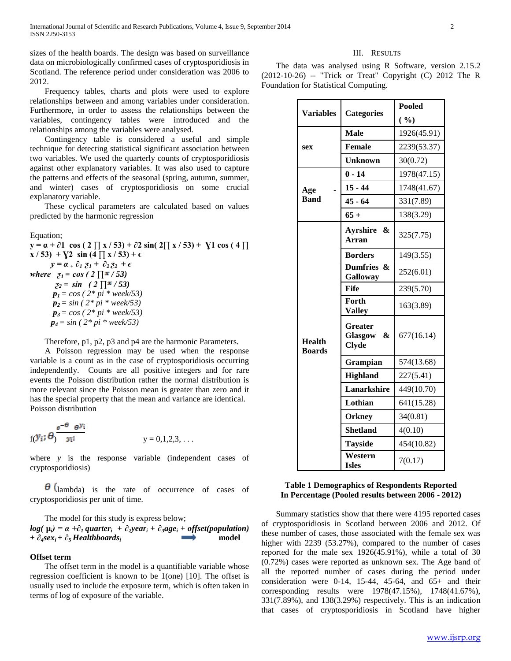sizes of the health boards. The design was based on surveillance data on microbiologically confirmed cases of cryptosporidiosis in Scotland. The reference period under consideration was 2006 to 2012.

 Frequency tables, charts and plots were used to explore relationships between and among variables under consideration. Furthermore, in order to assess the relationships between the variables, contingency tables were introduced and the relationships among the variables were analysed.

 Contingency table is considered a useful and simple technique for detecting statistical significant association between two variables. We used the quarterly counts of cryptosporidiosis against other explanatory variables. It was also used to capture the patterns and effects of the seasonal (spring, autumn, summer, and winter) cases of cryptosporidiosis on some crucial explanatory variable.

 These cyclical parameters are calculated based on values predicted by the harmonic regression

## Equation;

**y** =  $\alpha$  +  $\partial$ 1 cos (2 ∏ x / 53) +  $\partial$ 2 sin( 2∏ x / 53) +  $\chi$ 1 cos (4 ∏  $x / 53$ ) +  $\sqrt{2} \sin (4 \prod x / 53) + \epsilon$  $y = \alpha_+ \partial_1 z_1 + \partial_2 z_2 + \epsilon$ *where*  $z_1 = \cos (2 \prod x / 53)$  $z_2 = \sin (2 \prod x / 53)$  $p_1 = \cos(2 * pi * week/53)$  *p2 = sin ( 2\* pi \* week/53) p3 = cos ( 2\* pi \* week/53) p4= sin ( 2\* pi \* week/53)*

Therefore, p1, p2, p3 and p4 are the harmonic Parameters.

 A Poisson regression may be used when the response variable is a count as in the case of cryptosporidiosis occurring independently. Counts are all positive integers and for rare events the Poisson distribution rather the normal distribution is more relevant since the Poisson mean is greater than zero and it has the special property that the mean and variance are identical. Poisson distribution

$$
f(Y_i; \theta) \frac{e^{-\theta} \theta^{y_i}}{y_i!}
$$
  $y = 0,1,2,3,...$ 

where *y* is the response variable (independent cases of cryptosporidiosis)

 $\theta$  (lambda) is the rate of occurrence of cases of cryptosporidiosis per unit of time.

 The model for this study is express below;  $log(\mu_i) = \alpha + \partial_i$  *quarter*<sub>*i*</sub> +  $\partial_2$ *year*<sub>*i*</sub> +  $\partial_3$ *age*<sub>*i*</sub> + *offset(population) + ∂4sexi + ∂5 Healthboards<sup>i</sup>*  **model** 

#### **Offset term**

 The offset term in the model is a quantifiable variable whose regression coefficient is known to be 1(one) [10]. The offset is usually used to include the exposure term, which is often taken in terms of log of exposure of the variable.

#### III. RESULTS

 The data was analysed using R Software, version 2.15.2 (2012-10-26) -- "Trick or Treat" Copyright (C) 2012 The R Foundation for Statistical Computing.

| <b>Variables</b>               | <b>Categories</b>                           | <b>Pooled</b> |
|--------------------------------|---------------------------------------------|---------------|
|                                |                                             | ( %)          |
| sex                            | <b>Male</b>                                 | 1926(45.91)   |
|                                | Female                                      | 2239(53.37)   |
|                                | <b>Unknown</b>                              | 30(0.72)      |
| Age<br><b>Band</b>             | $0 - 14$                                    | 1978(47.15)   |
|                                | $15 - 44$                                   | 1748(41.67)   |
|                                | $45 - 64$                                   | 331(7.89)     |
|                                | $65+$                                       | 138(3.29)     |
| <b>Health</b><br><b>Boards</b> | Avrshire &<br><b>Arran</b>                  | 325(7.75)     |
|                                | <b>Borders</b>                              | 149(3.55)     |
|                                | Dumfries &<br>Galloway                      | 252(6.01)     |
|                                | Fife                                        | 239(5.70)     |
|                                | Forth<br><b>Valley</b>                      | 163(3.89)     |
|                                | <b>Greater</b><br>Glasgow &<br><b>Clyde</b> | 677(16.14)    |
|                                | Grampian                                    | 574(13.68)    |
|                                | <b>Highland</b>                             | 227(5.41)     |
|                                | <b>Lanarkshire</b>                          | 449(10.70)    |
|                                | Lothian                                     | 641(15.28)    |
|                                | <b>Orkney</b>                               | 34(0.81)      |
|                                | <b>Shetland</b>                             | 4(0.10)       |
|                                | <b>Tayside</b>                              | 454(10.82)    |
|                                | Western<br><b>Isles</b>                     | 7(0.17)       |

# **Table 1 Demographics of Respondents Reported In Percentage (Pooled results between 2006 - 2012)**

 Summary statistics show that there were 4195 reported cases of cryptosporidiosis in Scotland between 2006 and 2012. Of these number of cases, those associated with the female sex was higher with 2239 (53.27%), compared to the number of cases reported for the male sex 1926(45.91%), while a total of 30 (0.72%) cases were reported as unknown sex. The Age band of all the reported number of cases during the period under consideration were 0-14, 15-44, 45-64, and  $65+$  and their corresponding results were 1978(47.15%), 1748(41.67%), 331(7.89%), and 138(3.29%) respectively. This is an indication that cases of cryptosporidiosis in Scotland have higher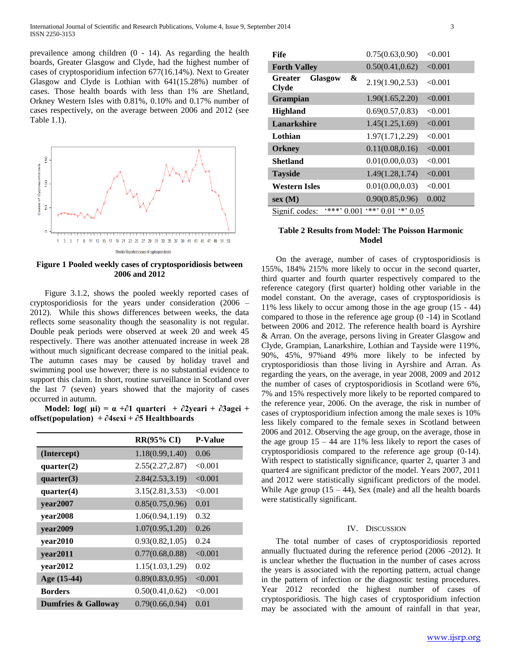prevailence among children (0 - 14). As regarding the health boards, Greater Glasgow and Clyde, had the highest number of cases of cryptosporidium infection 677(16.14%). Next to Greater Glasgow and Clyde is Lothian with 641(15.28%) number of cases. Those health boards with less than 1% are Shetland, Orkney Western Isles with 0.81%, 0.10% and 0.17% number of cases respectively, on the average between 2006 and 2012 (see Table 1.1).



**Figure 1 Pooled weekly cases of cryptosporidiosis between 2006 and 2012**

 Figure 3.1.2, shows the pooled weekly reported cases of cryptosporidiosis for the years under consideration (2006 – 2012). While this shows differences between weeks, the data reflects some seasonality though the seasonality is not regular. Double peak periods were observed at week 20 and week 45 respectively. There was another attenuated increase in week 28 without much significant decrease compared to the initial peak. The autumn cases may be caused by holiday travel and swimming pool use however; there is no substantial evidence to support this claim. In short, routine surveillance in Scotland over the last 7 (seven) years showed that the majority of cases occurred in autumn.

Model: log(  $\mu i$ ) =  $\alpha + \partial 1$  quarteri +  $\partial 2$ yeari +  $\partial 3$ agei + **offset(population) + ∂4sexi + ∂5 Healthboards**

|                                | <b>RR(95% CI)</b> | <b>P-Value</b> |
|--------------------------------|-------------------|----------------|
| (Intercept)                    | 1.18(0.99, 1.40)  | 0.06           |
| quarter(2)                     | 2.55(2.27, 2.87)  | < 0.001        |
| quarter(3)                     | 2.84(2.53,3.19)   | < 0.001        |
| quarter(4)                     | 3.15(2.81, 3.53)  | < 0.001        |
| year2007                       | 0.85(0.75, 0.96)  | 0.01           |
| year2008                       | 1.06(0.94, 1.19)  | 0.32           |
| year2009                       | 1.07(0.95, 1.20)  | 0.26           |
| year2010                       | 0.93(0.82, 1.05)  | 0.24           |
| year2011                       | 0.77(0.68, 0.88)  | < 0.001        |
| year2012                       | 1.15(1.03, 1.29)  | 0.02           |
| Age (15-44)                    | 0.89(0.83, 0.95)  | < 0.001        |
| <b>Borders</b>                 | 0.50(0.41, 0.62)  | < 0.001        |
| <b>Dumfries &amp; Galloway</b> | 0.79(0.66, 0.94)  | 0.01           |

| <b>Fife</b>                                    | 0.75(0.63, 0.90)                      | < 0.001 |
|------------------------------------------------|---------------------------------------|---------|
| <b>Forth Valley</b>                            | 0.50(0.41, 0.62)                      | < 0.001 |
| &<br><b>Glasgow</b><br>Greater<br><b>Clyde</b> | 2.19(1.90, 2.53)                      | < 0.001 |
| Grampian                                       | 1.90(1.65, 2.20)                      | < 0.001 |
| <b>Highland</b>                                | 0.69(0.57, 0.83)                      | < 0.001 |
| Lanarkshire                                    | 1.45(1.25, 1.69)                      | < 0.001 |
| Lothian                                        | 1.97(1.71,2.29)                       | < 0.001 |
| <b>Orkney</b>                                  | 0.11(0.08, 0.16)                      | < 0.001 |
| <b>Shetland</b>                                | 0.01(0.00, 0.03)                      | < 0.001 |
| <b>Tayside</b>                                 | 1.49(1.28, 1.74)                      | < 0.001 |
| Western Isles                                  | 0.01(0.00, 0.03)                      | < 0.001 |
| sex(M)                                         | 0.90(0.85, 0.96)                      | 0.002   |
| $4***$<br>Signif. codes:<br>0.00               | (米米)<br>$\rightarrow$<br>0.01<br>0.05 |         |

# **Table 2 Results from Model: The Poisson Harmonic Model**

 On the average, number of cases of cryptosporidiosis is 155%, 184% 215% more likely to occur in the second quarter, third quarter and fourth quarter respectively compared to the reference category (first quarter) holding other variable in the model constant. On the average, cases of cryptosporidiosis is 11% less likely to occur among those in the age group (15 - 44) compared to those in the reference age group (0 -14) in Scotland between 2006 and 2012. The reference health board is Ayrshire & Arran. On the average, persons living in Greater Glasgow and Clyde, Grampian, Lanarkshire, Lothian and Tayside were 119%, 90%, 45%, 97%and 49% more likely to be infected by cryptosporidiosis than those living in Ayrshire and Arran. As regarding the years, on the average, in year 2008, 2009 and 2012 the number of cases of cryptosporidiosis in Scotland were 6%, 7% and 15% respectively more likely to be reported compared to the reference year, 2006. On the average, the risk in number of cases of cryptosporidium infection among the male sexes is 10% less likely compared to the female sexes in Scotland between 2006 and 2012. Observing the age group, on the average, those in the age group  $15 - 44$  are  $11\%$  less likely to report the cases of cryptosporidiosis compared to the reference age group (0-14). With respect to statistically significance, quarter 2, quarter 3 and quarter4 are significant predictor of the model. Years 2007, 2011 and 2012 were statistically significant predictors of the model. While Age group  $(15 - 44)$ , Sex (male) and all the health boards were statistically significant.

## IV. DISCUSSION

 The total number of cases of cryptosporidiosis reported annually fluctuated during the reference period (2006 -2012). It is unclear whether the fluctuation in the number of cases across the years is associated with the reporting pattern, actual change in the pattern of infection or the diagnostic testing procedures. Year 2012 recorded the highest number of cases of cryptosporidiosis. The high cases of cryptosporidium infection may be associated with the amount of rainfall in that year,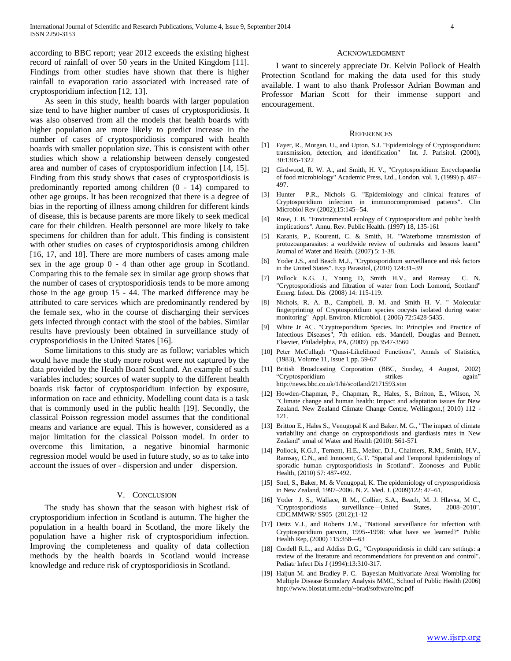according to BBC report; year 2012 exceeds the existing highest record of rainfall of over 50 years in the United Kingdom [11]. Findings from other studies have shown that there is higher rainfall to evaporation ratio associated with increased rate of cryptosporidium infection [12, 13].

 As seen in this study, health boards with larger population size tend to have higher number of cases of cryptosporidiosis. It was also observed from all the models that health boards with higher population are more likely to predict increase in the number of cases of cryptosporidiosis compared with health boards with smaller population size. This is consistent with other studies which show a relationship between densely congested area and number of cases of cryptosporidium infection [14, 15]. Finding from this study shows that cases of cryptosporidiosis is predominantly reported among children (0 - 14) compared to other age groups. It has been recognized that there is a degree of bias in the reporting of illness among children for different kinds of disease, this is because parents are more likely to seek medical care for their children. Health personnel are more likely to take specimens for children than for adult. This finding is consistent with other studies on cases of cryptosporidiosis among children [16, 17, and 18]. There are more numbers of cases among male sex in the age group 0 - 4 than other age group in Scotland. Comparing this to the female sex in similar age group shows that the number of cases of cryptosporidiosis tends to be more among those in the age group 15 - 44. The marked difference may be attributed to care services which are predominantly rendered by the female sex, who in the course of discharging their services gets infected through contact with the stool of the babies. Similar results have previously been obtained in surveillance study of cryptosporidiosis in the United States [16].

 Some limitations to this study are as follow; variables which would have made the study more robust were not captured by the data provided by the Health Board Scotland. An example of such variables includes; sources of water supply to the different health boards risk factor of cryptosporidium infection by exposure, information on race and ethnicity. Modelling count data is a task that is commonly used in the public health [19]. Secondly, the classical Poisson regression model assumes that the conditional means and variance are equal. This is however, considered as a major limitation for the classical Poisson model. In order to overcome this limitation, a negative binomial harmonic regression model would be used in future study, so as to take into account the issues of over - dispersion and under – dispersion.

#### V. CONCLUSION

 The study has shown that the season with highest risk of cryptosporidium infection in Scotland is autumn. The higher the population in a health board in Scotland, the more likely the population have a higher risk of cryptosporidium infection. Improving the completeness and quality of data collection methods by the health boards in Scotland would increase knowledge and reduce risk of cryptosporidiosis in Scotland.

#### ACKNOWLEDGMENT

 I want to sincerely appreciate Dr. Kelvin Pollock of Health Protection Scotland for making the data used for this study available. I want to also thank Professor Adrian Bowman and Professor Marian Scott for their immense support and encouragement.

#### **REFERENCES**

- [1] Fayer, R., Morgan, U., and Upton, S.J. "Epidemiology of Cryptosporidium: transmission, detection, and identification" Int. J. Parisitol. (2000), 30:1305-1322
- [2] Girdwood, R. W. A., and Smith, H. V., "Cryptosporidium: Encyclopaedia of food microbiology" Academic Press, Ltd., London. vol. 1, (1999) p. 487– 497.
- [3] Hunter P.R., Nichols G. "Epidemiology and clinical features of Cryptosporidium infection in immunocompromised patients". Clin Microbiol Rev (2002);15:145--54.
- [4] Rose, J. B. "Environmental ecology of Cryptosporidium and public health implications". Annu. Rev. Public Health. (1997) 18, 135-161
- [5] Karanis, P., Kourenti, C. & Smith, H. "Waterborne transmission of protozoanparasites: a worldwide review of outbreaks and lessons learnt" Journal of Water and Health. (2007) 5: 1-38.
- [6] Yoder J.S., and Beach M.J., "Cryptosporidium surveillance and risk factors in the United States". Exp Parasitol, (2010) 124:31–39
- [7] Pollock K.G. J., Young D, Smith H.V., and Ramsay C. N. "Cryptosporidiosis and filtration of water from Loch Lomond, Scotland" Emerg. Infect. Dis (2008) 14: 115-119.
- [8] Nichols, R. A. B., Campbell, B. M. and Smith H. V. " Molecular fingerprinting of Cryptosporidium species oocysts isolated during water monitoring" Appl. Environ. Microbiol. ( 2006) 72:5428-5435.
- [9] White Jr AC. "Cryptosporidium Species. In: Principles and Practice of Infectious Diseases", 7th edition. eds. Mandell, Douglas and Bennett. Elsevier, Philadelphia, PA, (2009) pp.3547-3560
- [10] Peter McCullagh "Quasi-Likelihood Functions", Annals of Statistics, (1983), Volume 11, Issue 1 pp. 59-67
- [11] British Broadcasting Corporation (BBC, Sunday, 4 August, 2002) ―Cryptosporidium strikes again‖ http://news.bbc.co.uk/1/hi/scotland/2171593.stm
- [12] Howden-Chapman, P., Chapman, R., Hales, S., Britton, E., Wilson, N. "Climate change and human health: Impact and adaptation issues for New Zealand. New Zealand Climate Change Centre, Wellington,( 2010) 112 - 121.
- [13] Britton E., Hales S., Venugopal K and Baker. M. G., "The impact of climate variability and change on cryptosporidiosis and giardiasis rates in New Zealand" urnal of Water and Health (2010): 561-571
- [14] Pollock, K.G.J., Ternent, H.E., Mellor, D.J., Chalmers, R.M., Smith, H.V., Ramsay, C.N., and Innocent, G.T. "Spatial and Temporal Epidemiology of sporadic human cryptosporidiosis in Scotland". Zoonoses and Public Health, (2010) 57: 487-492.
- [15] Snel, S., Baker, M. & Venugopal, K. The epidemiology of cryptosporidiosis in New Zealand, 1997–2006. N. Z. Med. J. (2009)122: 47–61.
- [16] Yoder J. S., Wallace, R M., Collier, S.A., Beach, M. J. Hlavsa, M C., "Cryptosporidiosis surveillance—United States, 2008–2010". CDC.MMWR/ SS05 (2012);1-12
- [17] Deitz V.J., and Roberts J.M., "National surveillance for infection with Cryptosporidium parvum, 1995--1998: what have we learned?" Public Health Rep, (2000) 115:358—63
- [18] Cordell R.L., and Addiss D.G., "Cryptosporidiosis in child care settings: a review of the literature and recommendations for prevention and control". Pediatr Infect Dis J (1994):13:310-317.
- [19] Haijun M. and Bradley P. C. Bayesian Multivariate Areal Wombling for Multiple Disease Boundary Analysis MMC, School of Public Health (2006) http://www.biostat.umn.edu/~brad/software/mc.pdf